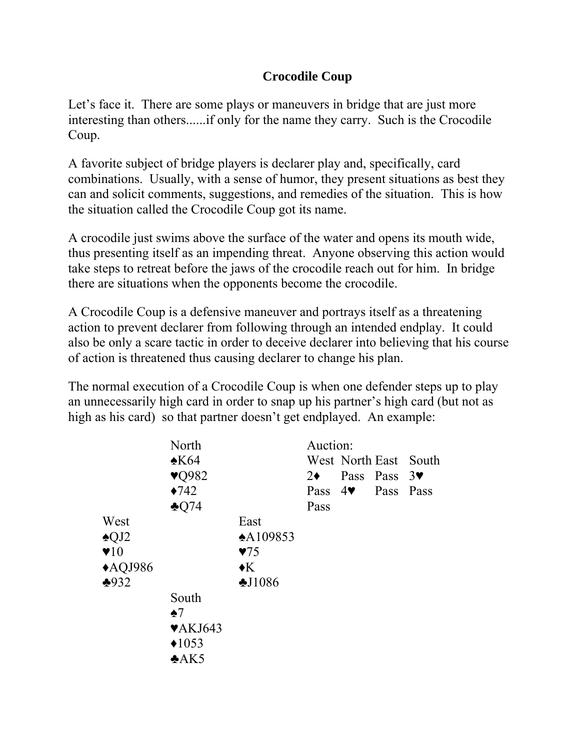## **Crocodile Coup**

Let's face it. There are some plays or maneuvers in bridge that are just more interesting than others......if only for the name they carry. Such is the Crocodile Coup.

A favorite subject of bridge players is declarer play and, specifically, card combinations. Usually, with a sense of humor, they present situations as best they can and solicit comments, suggestions, and remedies of the situation. This is how the situation called the Crocodile Coup got its name.

A crocodile just swims above the surface of the water and opens its mouth wide, thus presenting itself as an impending threat. Anyone observing this action would take steps to retreat before the jaws of the crocodile reach out for him. In bridge there are situations when the opponents become the crocodile.

A Crocodile Coup is a defensive maneuver and portrays itself as a threatening action to prevent declarer from following through an intended endplay. It could also be only a scare tactic in order to deceive declarer into believing that his course of action is threatened thus causing declarer to change his plan.

The normal execution of a Crocodile Coup is when one defender steps up to play an unnecessarily high card in order to snap up his partner's high card (but not as high as his card) so that partner doesn't get endplayed. An example:

|                                                                                    | North<br>$\triangle$ K64<br>$\blacktriangledown$ 982<br>$\blacklozenge$ 742<br>$\clubsuit$ Q74 |                                                                                      | Auction:<br>$2\bullet$<br>Pass $4\blacktriangledown$<br>Pass | Pass | Pass $3\blacktriangledown$<br>Pass Pass | West North East South |
|------------------------------------------------------------------------------------|------------------------------------------------------------------------------------------------|--------------------------------------------------------------------------------------|--------------------------------------------------------------|------|-----------------------------------------|-----------------------|
| West<br>$\triangle$ QJ2<br>$\blacktriangledown$ 10<br>$\triangle$ AQJ986<br>$*932$ | South<br>$\triangle7$<br>$\blacktriangledown$ AKJ643<br>$*1053$<br>A <sub>K5</sub>             | East<br>$\triangle$ A109853<br>$\blacktriangledown$<br>$\blacklozenge K$<br>$-11086$ |                                                              |      |                                         |                       |